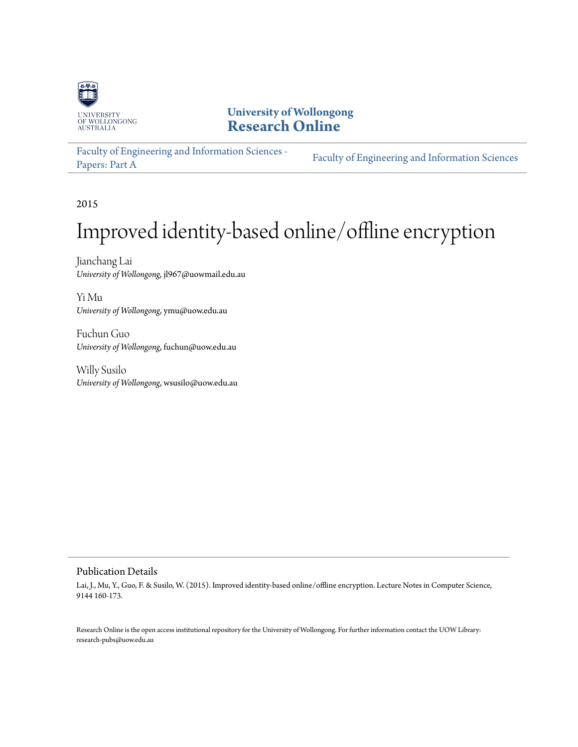

**University of Wollongong [Research Online](http://ro.uow.edu.au)**

[Faculty of Engineering and Information Sciences -](http://ro.uow.edu.au/eispapers) Paculty of Engineering and *Information Sciences*<br>[Papers: Part A](http://ro.uow.edu.au/eispapers)

2015

# Improved identity-based online/offline encryption

Jianchang Lai *University of Wollongong*, jl967@uowmail.edu.au

Yi Mu *University of Wollongong*, ymu@uow.edu.au

Fuchun Guo *University of Wollongong*, fuchun@uow.edu.au

Willy Susilo *University of Wollongong*, wsusilo@uow.edu.au

## Publication Details

Lai, J., Mu, Y., Guo, F. & Susilo, W. (2015). Improved identity-based online/offline encryption. Lecture Notes in Computer Science, 9144 160-173.

Research Online is the open access institutional repository for the University of Wollongong. For further information contact the UOW Library: research-pubs@uow.edu.au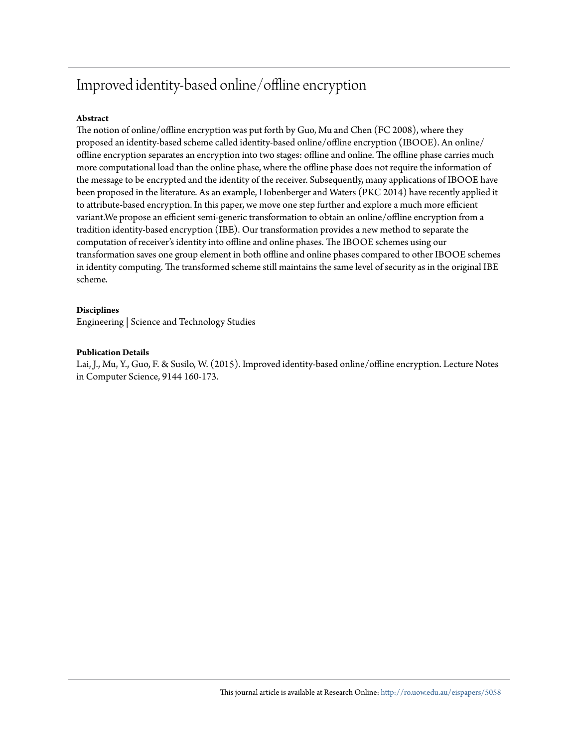# Improved identity-based online/offline encryption

## **Abstract**

The notion of online/offline encryption was put forth by Guo, Mu and Chen (FC 2008), where they proposed an identity-based scheme called identity-based online/offline encryption (IBOOE). An online/ offline encryption separates an encryption into two stages: offline and online. The offline phase carries much more computational load than the online phase, where the offline phase does not require the information of the message to be encrypted and the identity of the receiver. Subsequently, many applications of IBOOE have been proposed in the literature. As an example, Hobenberger and Waters (PKC 2014) have recently applied it to attribute-based encryption. In this paper, we move one step further and explore a much more efficient variant.We propose an efficient semi-generic transformation to obtain an online/offline encryption from a tradition identity-based encryption (IBE). Our transformation provides a new method to separate the computation of receiver's identity into offline and online phases. The IBOOE schemes using our transformation saves one group element in both offline and online phases compared to other IBOOE schemes in identity computing. The transformed scheme still maintains the same level of security as in the original IBE scheme.

#### **Disciplines**

Engineering | Science and Technology Studies

#### **Publication Details**

Lai, J., Mu, Y., Guo, F. & Susilo, W. (2015). Improved identity-based online/offline encryption. Lecture Notes in Computer Science, 9144 160-173.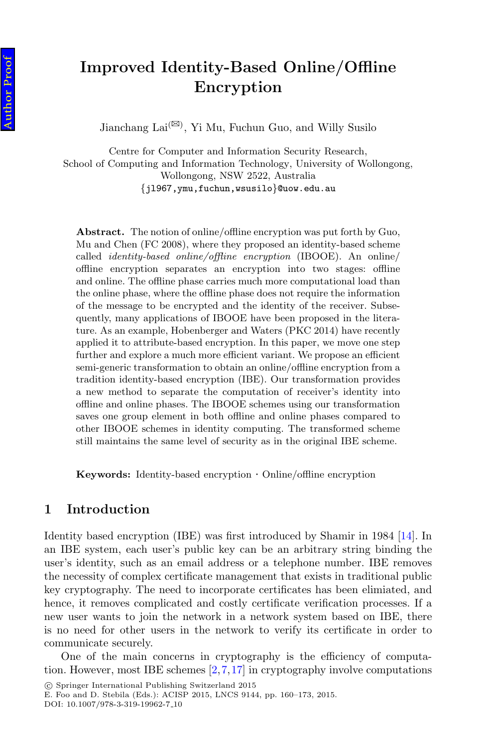# **Improved Identity-Based Online/Offline Encryption**

Jianchang Lai<br/>  ${}^{(\boxtimes)}$  , Yi Mu, Fuchun Guo, and Willy Susilo

Centre for Computer and Information Security Research, School of Computing and Information Technology, University of Wollongong, Wollongong, NSW 2522, Australia *{*jl967,ymu,fuchun,wsusilo*}*@uow.edu.au

**Abstract.** The notion of online/offline encryption was put forth by Guo, Mu and Chen (FC 2008), where they proposed an identity-based scheme called identity-based online/offline encryption (IBOOE). An online/ offline encryption separates an encryption into two stages: offline and online. The offline phase carries much more computational load than the online phase, where the offline phase does not require the information of the message to be encrypted and the identity of the receiver. Subsequently, many applications of IBOOE have been proposed in the literature. As an example, Hobenberger and Waters (PKC 2014) have recently applied it to attribute-based encryption. In this paper, we move one step further and explore a much more efficient variant. We propose an efficient semi-generic transformation to obtain an online/offline encryption from a tradition identity-based encryption (IBE). Our transformation provides a new method to separate the computation of receiver's identity into offline and online phases. The IBOOE schemes using our transformation saves one group element in both offline and online phases compared to other IBOOE schemes in identity computing. The transformed scheme still maintains the same level of security as in the original IBE scheme.

**Keywords:** Identity-based encryption · Online/offline encryption

## **1 Introduction**

Identity based encryption (IBE) was first introduced by Shamir in 1984 [\[14](#page-15-0)]. In an IBE system, each user's public key can be an arbitrary string binding the user's identity, such as an email address or a telephone number. IBE removes the necessity of complex certificate management that exists in traditional public key cryptography. The need to incorporate certificates has been elimiated, and hence, it removes complicated and costly certificate verification processes. If a new user wants to join the network in a network system based on IBE, there is no need for other users in the network to verify its certificate in order to communicate securely.

One of the main concerns in cryptography is the efficiency of computation. However, most IBE schemes [\[2,](#page-14-0)[7,](#page-15-1)[17](#page-15-2)] in cryptography involve computations

<sup>-</sup>c Springer International Publishing Switzerland 2015

E. Foo and D. Stebila (Eds.): ACISP 2015, LNCS 9144, pp. 160–173, 2015.

DOI: 10.1007/978-3-319-19962-7 10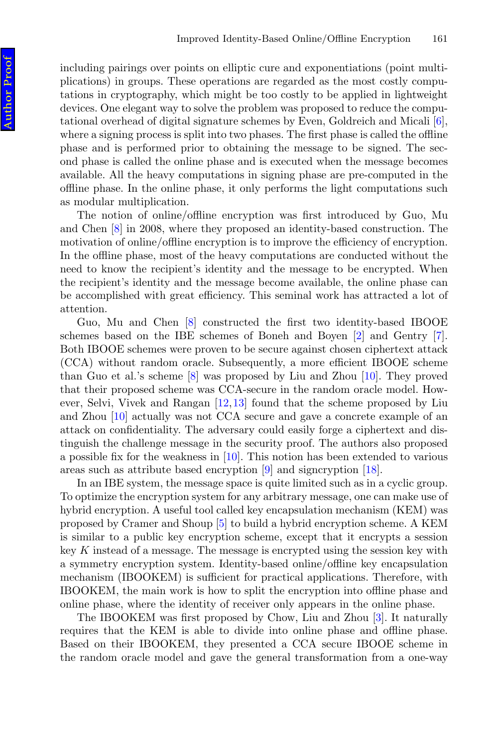including pairings over points on elliptic cure and exponentiations (point multiplications) in groups. These operations are regarded as the most costly computations in cryptography, which might be too costly to be applied in lightweight devices. One elegant way to solve the problem was proposed to reduce the computational overhead of digital signature schemes by Even, Goldreich and Micali [\[6\]](#page-15-3), where a signing process is split into two phases. The first phase is called the offline phase and is performed prior to obtaining the message to be signed. The second phase is called the online phase and is executed when the message becomes available. All the heavy computations in signing phase are pre-computed in the offline phase. In the online phase, it only performs the light computations such as modular multiplication.

The notion of online/offline encryption was first introduced by Guo, Mu and Chen [\[8\]](#page-15-4) in 2008, where they proposed an identity-based construction. The motivation of online/offline encryption is to improve the efficiency of encryption. In the offline phase, most of the heavy computations are conducted without the need to know the recipient's identity and the message to be encrypted. When the recipient's identity and the message become available, the online phase can be accomplished with great efficiency. This seminal work has attracted a lot of attention.

Guo, Mu and Chen [\[8\]](#page-15-4) constructed the first two identity-based IBOOE schemes based on the IBE schemes of Boneh and Boyen [\[2\]](#page-14-0) and Gentry [\[7\]](#page-15-1). Both IBOOE schemes were proven to be secure against chosen ciphertext attack (CCA) without random oracle. Subsequently, a more efficient IBOOE scheme than Guo et al.'s scheme [\[8\]](#page-15-4) was proposed by Liu and Zhou [\[10\]](#page-15-5). They proved that their proposed scheme was CCA-secure in the random oracle model. However, Selvi, Vivek and Rangan [\[12](#page-15-6),[13\]](#page-15-7) found that the scheme proposed by Liu and Zhou [\[10](#page-15-5)] actually was not CCA secure and gave a concrete example of an attack on confidentiality. The adversary could easily forge a ciphertext and distinguish the challenge message in the security proof. The authors also proposed a possible fix for the weakness in [\[10\]](#page-15-5). This notion has been extended to various areas such as attribute based encryption [\[9\]](#page-15-8) and signcryption [\[18\]](#page-15-9).

In an IBE system, the message space is quite limited such as in a cyclic group. To optimize the encryption system for any arbitrary message, one can make use of hybrid encryption. A useful tool called key encapsulation mechanism (KEM) was proposed by Cramer and Shoup [\[5](#page-15-10)] to build a hybrid encryption scheme. A KEM is similar to a public key encryption scheme, except that it encrypts a session key  $K$  instead of a message. The message is encrypted using the session key with a symmetry encryption system. Identity-based online/offline key encapsulation mechanism (IBOOKEM) is sufficient for practical applications. Therefore, with IBOOKEM, the main work is how to split the encryption into offline phase and online phase, where the identity of receiver only appears in the online phase.

The IBOOKEM was first proposed by Chow, Liu and Zhou [\[3](#page-15-11)]. It naturally requires that the KEM is able to divide into online phase and offline phase. Based on their IBOOKEM, they presented a CCA secure IBOOE scheme in the random oracle model and gave the general transformation from a one-way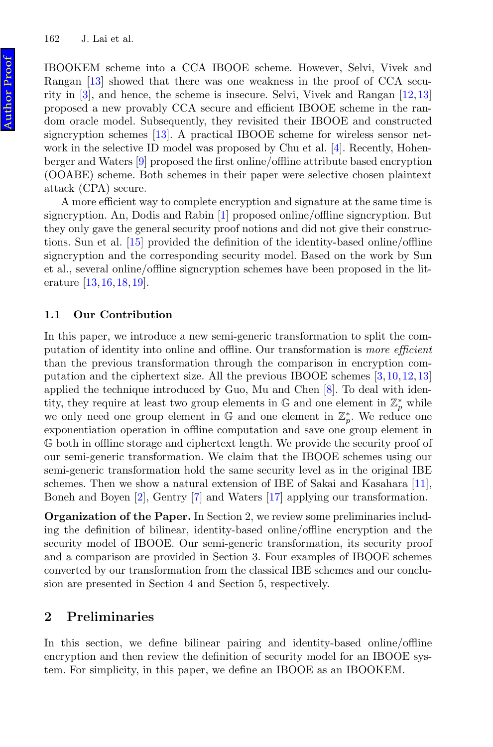Author ProofAuthor Proof

IBOOKEM scheme into a CCA IBOOE scheme. However, Selvi, Vivek and Rangan [\[13](#page-15-7)] showed that there was one weakness in the proof of CCA security in [\[3\]](#page-15-11), and hence, the scheme is insecure. Selvi, Vivek and Rangan [\[12](#page-15-6)[,13](#page-15-7)] proposed a new provably CCA secure and efficient IBOOE scheme in the random oracle model. Subsequently, they revisited their IBOOE and constructed signcryption schemes [\[13\]](#page-15-7). A practical IBOOE scheme for wireless sensor net-work in the selective ID model was proposed by Chu et al. [\[4\]](#page-15-12). Recently, Hohenberger and Waters [\[9\]](#page-15-8) proposed the first online/offline attribute based encryption (OOABE) scheme. Both schemes in their paper were selective chosen plaintext attack (CPA) secure.

A more efficient way to complete encryption and signature at the same time is signcryption. An, Dodis and Rabin [\[1\]](#page-14-1) proposed online/offline signcryption. But they only gave the general security proof notions and did not give their constructions. Sun et al. [\[15](#page-15-13)] provided the definition of the identity-based online/offline signcryption and the corresponding security model. Based on the work by Sun et al., several online/offline signcryption schemes have been proposed in the literature [\[13](#page-15-7)[,16](#page-15-14),[18,](#page-15-9)[19\]](#page-15-15).

#### **1.1 Our Contribution**

In this paper, we introduce a new semi-generic transformation to split the computation of identity into online and offline. Our transformation is *more efficient* than the previous transformation through the comparison in encryption computation and the ciphertext size. All the previous IBOOE schemes [\[3](#page-15-11)[,10,](#page-15-5)[12](#page-15-6)[,13](#page-15-7)] applied the technique introduced by Guo, Mu and Chen [\[8](#page-15-4)]. To deal with identity, they require at least two group elements in  $\mathbb G$  and one element in  $\mathbb Z_p^*$  while we only need one group element in  $\mathbb{G}$  and one element in  $\mathbb{Z}_p^*$ . We reduce one exponentiation operation in offline computation and save one group element in G both in offline storage and ciphertext length. We provide the security proof of our semi-generic transformation. We claim that the IBOOE schemes using our semi-generic transformation hold the same security level as in the original IBE schemes. Then we show a natural extension of IBE of Sakai and Kasahara [\[11\]](#page-15-16), Boneh and Boyen [\[2](#page-14-0)], Gentry [\[7\]](#page-15-1) and Waters [\[17\]](#page-15-2) applying our transformation.

**Organization of the Paper.** In Section 2, we review some preliminaries including the definition of bilinear, identity-based online/offline encryption and the security model of IBOOE. Our semi-generic transformation, its security proof and a comparison are provided in Section 3. Four examples of IBOOE schemes converted by our transformation from the classical IBE schemes and our conclusion are presented in Section 4 and Section 5, respectively.

## **2 Preliminaries**

In this section, we define bilinear pairing and identity-based online/offline encryption and then review the definition of security model for an IBOOE system. For simplicity, in this paper, we define an IBOOE as an IBOOKEM.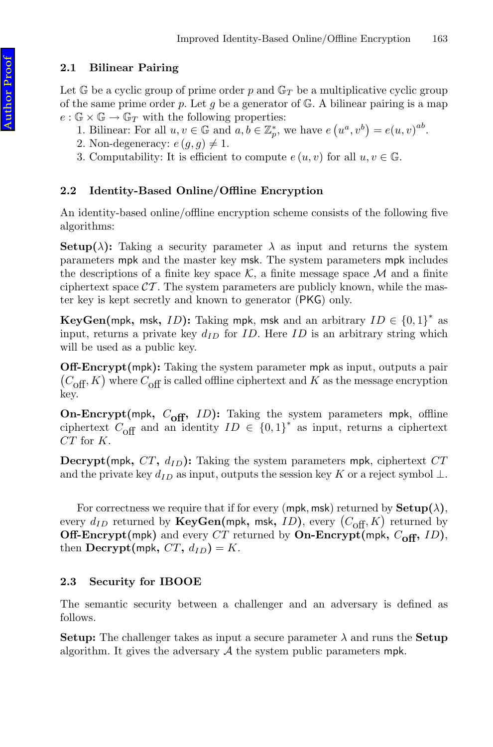# **2.1 Bilinear Pairing**

Let  $\mathbb{G}$  be a cyclic group of prime order p and  $\mathbb{G}_T$  be a multiplicative cyclic group of the same prime order p. Let q be a generator of  $\mathbb{G}$ . A bilinear pairing is a map  $e : \mathbb{G} \times \mathbb{G} \to \mathbb{G}_T$  with the following properties:

- 1. Bilinear: For all  $u, v \in \mathbb{G}$  and  $a, b \in \mathbb{Z}_p^*$ , we have  $e(u^a, v^b) = e(u, v)^{ab}$ .
- 2. Non-degeneracy:  $e(g, g) \neq 1$ .
- 3. Computability: It is efficient to compute  $e(u, v)$  for all  $u, v \in \mathbb{G}$ .

# **2.2 Identity-Based Online/Offline Encryption**

An identity-based online/offline encryption scheme consists of the following five algorithms:

**Setup(** $\lambda$ **):** Taking a security parameter  $\lambda$  as input and returns the system parameters mpk and the master key msk. The system parameters mpk includes the descriptions of a finite key space  $\mathcal{K}$ , a finite message space  $\mathcal{M}$  and a finite ciphertext space  $\mathcal{CT}$ . The system parameters are publicly known, while the master key is kept secretly and known to generator (PKG) only.

**KeyGen(mpk, msk,** *ID***):** Taking mpk, msk and an arbitrary  $ID \in \{0, 1\}^*$  as input, returns a private key  $d_{ID}$  for ID. Here ID is an arbitrary string which will be used as a public key.

**Off-Encrypt(mpk):** Taking the system parameter mpk as input, outputs a pair  $(C_{\text{off}}, K)$  where  $C_{\text{off}}$  is called offline ciphertext and K as the message encryption key.

**On-Encrypt(mpk,**  $C_{\text{off}}$ , *ID*): Taking the system parameters mpk, offline ciphertext  $C_{\text{off}}$  and an identity  $ID \in \{0,1\}^*$  as input, returns a ciphertext CT for K.

**Decrypt(mpk,**  $CT$ ,  $d_{ID}$ ): Taking the system parameters mpk, ciphertext  $CT$ and the private key  $d_{ID}$  as input, outputs the session key K or a reject symbol  $\perp$ .

For correctness we require that if for every (mpk, msk) returned by  $Setup(\lambda)$ , every  $d_{ID}$  returned by  $\textbf{KeyGen(mpk, msk, ID)}$ , every  $(C_{\text{off}}, K)$  returned by **Off-Encrypt**(mpk) and every CT returned by **On-Encrypt**(mpk,  $C_{\text{off}}$ , *ID*), then  $\textbf{Decrypt}(\text{mpk}, CT, d_{ID}) = K$ .

# **2.3 Security for IBOOE**

The semantic security between a challenger and an adversary is defined as follows.

**Setup:** The challenger takes as input a secure parameter  $\lambda$  and runs the **Setup** algorithm. It gives the adversary  $A$  the system public parameters mpk.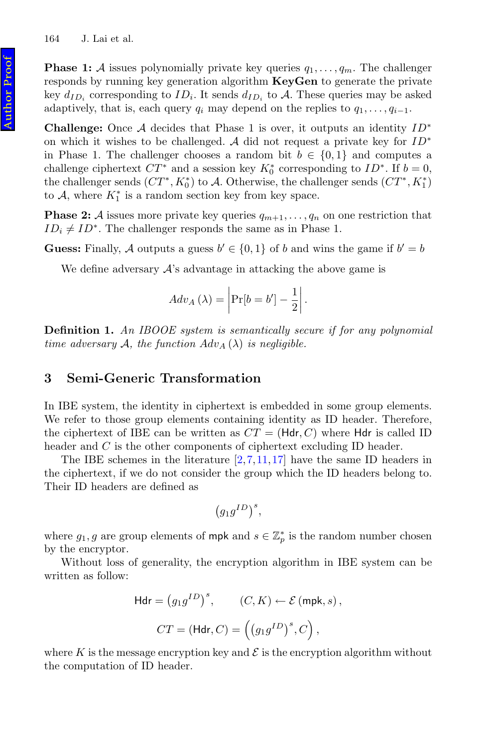**Phase 1:** A issues polynomially private key queries  $q_1, \ldots, q_m$ . The challenger responds by running key generation algorithm **KeyGen** to generate the private key  $d_{ID_i}$  corresponding to  $ID_i$ . It sends  $d_{ID_i}$  to A. These queries may be asked adaptively, that is, each query  $q_i$  may depend on the replies to  $q_1, \ldots, q_{i-1}$ .

**Challenge:** Once A decides that Phase 1 is over, it outputs an identity ID<sup>∗</sup> on which it wishes to be challenged. A did not request a private key for ID<sup>∗</sup> in Phase 1. The challenger chooses a random bit  $b \in \{0,1\}$  and computes a challenge ciphertext  $CT^*$  and a session key  $K_0^*$  corresponding to  $ID^*$ . If  $b = 0$ , the challenger sends  $(CT^*, K_0^*)$  to A. Otherwise, the challenger sends  $(CT^*, K_1^*)$ to  $A$ , where  $K_1^*$  is a random section key from key space.

**Phase 2:** A issues more private key queries  $q_{m+1}, \ldots, q_n$  on one restriction that  $ID_i \neq ID^*$ . The challenger responds the same as in Phase 1.

**Guess:** Finally, A outputs a guess  $b' \in \{0, 1\}$  of b and wins the game if  $b' = b$ 

We define adversary  $A$ 's advantage in attacking the above game is

$$
Adv_A(\lambda) = \left| \Pr[b = b'] - \frac{1}{2} \right|.
$$

**Definition 1.** *An IBOOE system is semantically secure if for any polynomial time adversary* A, the function  $Adv_A(\lambda)$  *is negligible.* 

#### **3 Semi-Generic Transformation**

In IBE system, the identity in ciphertext is embedded in some group elements. We refer to those group elements containing identity as ID header. Therefore, the ciphertext of IBE can be written as  $CT = (Hdr, C)$  where Hdr is called ID header and C is the other components of ciphertext excluding ID header.

The IBE schemes in the literature  $[2,7,11,17]$  $[2,7,11,17]$  $[2,7,11,17]$  $[2,7,11,17]$  $[2,7,11,17]$  have the same ID headers in the ciphertext, if we do not consider the group which the ID headers belong to. Their ID headers are defined as

$$
\left(g_1g^{ID}\right)^s,
$$

where  $g_1, g$  are group elements of mpk and  $s \in \mathbb{Z}_p^*$  is the random number chosen by the encryptor.

Without loss of generality, the encryption algorithm in IBE system can be written as follow:

$$
\mathsf{H} \mathsf{d} \mathsf{r} = (g_1 g^{ID})^s, \qquad (C, K) \leftarrow \mathcal{E} \left( \mathsf{mpk}, s \right),
$$

$$
CT = (\mathsf{H} \mathsf{d} \mathsf{r}, C) = \left( \left( g_1 g^{ID} \right)^s, C \right),
$$

where K is the message encryption key and  $\mathcal E$  is the encryption algorithm without the computation of ID header.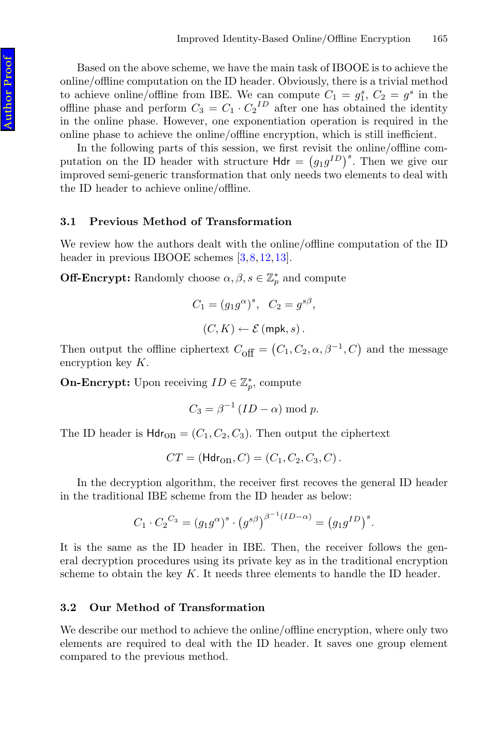Based on the above scheme, we have the main task of IBOOE is to achieve the online/offline computation on the ID header. Obviously, there is a trivial method to achieve online/offline from IBE. We can compute  $C_1 = g_1^s$ ,  $C_2 = g^s$  in the offline phase and perform  $C_3 = C_1 \cdot C_2^{ID}$  after one has obtained the identity in the online phase. However, one exponentiation operation is required in the online phase to achieve the online/offline encryption, which is still inefficient.

In the following parts of this session, we first revisit the online/offline computation on the ID header with structure  $\mathsf{H} dr = (g_1 g^{ID})^s$ . Then we give our improved semi-generic transformation that only needs two elements to deal with the ID header to achieve online/offline.

#### **3.1 Previous Method of Transformation**

We review how the authors dealt with the online/offline computation of the ID header in previous IBOOE schemes [\[3](#page-15-11), [8,](#page-15-4) [12](#page-15-6), 13].

**Off-Encrypt:** Randomly choose  $\alpha, \beta, s \in \mathbb{Z}_p^*$  and compute

$$
C_1 = (g_1 g^{\alpha})^s, \quad C_2 = g^{s\beta},
$$

$$
(C, K) \leftarrow \mathcal{E} \left( \text{mpk}, s \right).
$$

Then output the offline ciphertext  $C_{\text{off}} = (C_1, C_2, \alpha, \beta^{-1}, C)$  and the message encryption key K.

**On-Encrypt:** Upon receiving  $ID \in \mathbb{Z}_p^*$ , compute

$$
C_3 = \beta^{-1} (ID - \alpha) \bmod p.
$$

The ID header is  $\text{Hdr}_{on} = (C_1, C_2, C_3)$ . Then output the ciphertext

$$
CT = (\mathsf{Hdr}_{\mathsf{on}}, C) = (C_1, C_2, C_3, C).
$$

In the decryption algorithm, the receiver first recoves the general ID header in the traditional IBE scheme from the ID header as below:

$$
C_1 \cdot C_2^{C_3} = (g_1 g^{\alpha})^s \cdot (g^{s\beta})^{\beta^{-1}(ID-\alpha)} = (g_1 g^{ID})^s.
$$

It is the same as the ID header in IBE. Then, the receiver follows the general decryption procedures using its private key as in the traditional encryption scheme to obtain the key  $K$ . It needs three elements to handle the ID header.

#### **3.2 Our Method of Transformation**

We describe our method to achieve the online/offline encryption, where only two elements are required to deal with the ID header. It saves one group element compared to the previous method.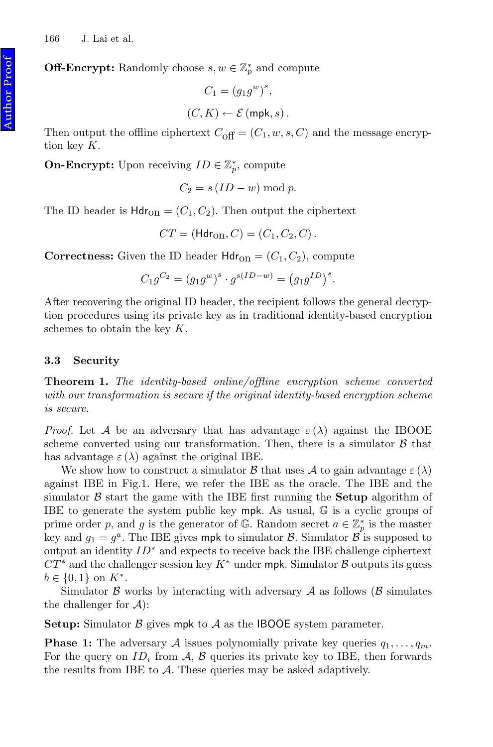$$
C_1 = (g_1 g^w)^s,
$$
  

$$
(C, K) \leftarrow \mathcal{E} (\text{mpk}, s).
$$

Then output the offline ciphertext  $C_{\text{off}} = (C_1, w, s, C)$  and the message encryption key  $K$ .

**On-Encrypt:** Upon receiving  $ID \in \mathbb{Z}_p^*$ , compute

$$
C_2 = s(ID - w) \bmod p.
$$

The ID header is  $\text{Hd}r_{\text{on}} = (C_1, C_2)$ . Then output the ciphertext

$$
CT = (\mathsf{Hdr}_{\mathsf{on}}, C) = (C_1, C_2, C).
$$

**Correctness:** Given the ID header  $\text{Hdr}_{on} = (C_1, C_2)$ , compute

$$
C_1 g^{C_2} = (g_1 g^w)^s \cdot g^{s(ID-w)} = (g_1 g^{ID})^s.
$$

After recovering the original ID header, the recipient follows the general decryption procedures using its private key as in traditional identity-based encryption schemes to obtain the key K.

#### **3.3 Security**

**Theorem 1.** *The identity-based online/offline encryption scheme converted with our transformation is secure if the original identity-based encryption scheme is secure.*

*Proof.* Let A be an adversary that has advantage  $\varepsilon(\lambda)$  against the IBOOE scheme converted using our transformation. Then, there is a simulator  $B$  that has advantage  $\varepsilon(\lambda)$  against the original IBE.

We show how to construct a simulator B that uses A to gain advantage  $\varepsilon(\lambda)$ against IBE in Fig.1. Here, we refer the IBE as the oracle. The IBE and the simulator  $\beta$  start the game with the IBE first running the **Setup** algorithm of IBE to generate the system public key mpk. As usual, G is a cyclic groups of prime order p, and g is the generator of  $\mathbb{G}$ . Random secret  $a \in \mathbb{Z}_p^*$  is the master key and  $g_1 = g^a$ . The IBE gives mpk to simulator B. Simulator B is supposed to output an identity  $ID^*$  and expects to receive back the IBE challenge ciphertext  $CT^*$  and the challenger session key  $K^*$  under mpk. Simulator  $\beta$  outputs its guess  $b \in \{0,1\}$  on  $K^*$ .

Simulator  $\beta$  works by interacting with adversary  $\mathcal A$  as follows ( $\beta$  simulates the challenger for  $\mathcal{A}$ :

**Setup:** Simulator  $\beta$  gives mpk to  $\mathcal A$  as the IBOOE system parameter.

**Phase 1:** The adversary A issues polynomially private key queries  $q_1, \ldots, q_m$ . For the query on  $ID_i$  from  $A, B$  queries its private key to IBE, then forwards the results from IBE to A. These queries may be asked adaptively.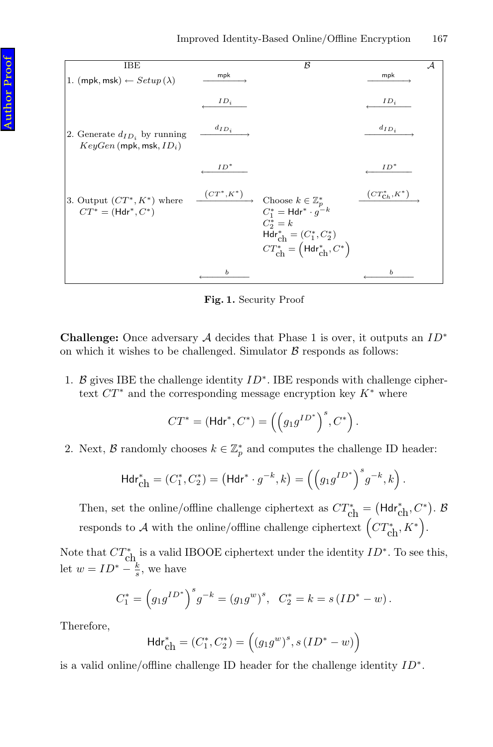| IBE                                                               |              | B                                                                                                                                                                                           |                             |  |
|-------------------------------------------------------------------|--------------|---------------------------------------------------------------------------------------------------------------------------------------------------------------------------------------------|-----------------------------|--|
| 1. (mpk, msk) $\leftarrow Setup(\lambda)$                         | mpk          |                                                                                                                                                                                             | mpk                         |  |
|                                                                   | $ID_i$       |                                                                                                                                                                                             | $ID_i$                      |  |
| 2. Generate $d_{ID_i}$ by running<br>$KeyGen$ (mpk, msk, $ID_i$ ) | $d_{ID_i}$   |                                                                                                                                                                                             | $d_{ID_i}$                  |  |
|                                                                   | $ID^*$       |                                                                                                                                                                                             | $ID^*$                      |  |
| 3. Output $(CT^*, K^*)$ where<br>$CT^* = (Hdr^*, C^*)$            | $(CT^*,K^*)$ | Choose $k \in \mathbb{Z}_n^*$<br>$C_1^* = \text{Hdr}^* \cdot g^{-k}$<br>$C_2^* = k$<br>$\mathsf{Hdr}_{\mathrm{ch}}^*=(C_1^*,C_2^*)$<br>$CT_{\text{ch}}^* = (\text{Hdr}_{\text{ch}}^*, C^*)$ | $(CT_{\mathrm{C}h}^*, K^*)$ |  |
|                                                                   | b            |                                                                                                                                                                                             | b                           |  |

**Fig. 1.** Security Proof

**Challenge:** Once adversary  $\mathcal A$  decides that Phase 1 is over, it outputs an  $ID^*$ on which it wishes to be challenged. Simulator  $\beta$  responds as follows:

1. B gives IBE the challenge identity  $ID^*$ . IBE responds with challenge ciphertext  $CT^*$  and the corresponding message encryption key  $K^*$  where

$$
CT^* = (Hdr^*, C^*) = \left( \left( g_1 g^{ID^*} \right)^s, C^* \right).
$$

2. Next,  $\mathcal{B}$  randomly chooses  $k \in \mathbb{Z}_p^*$  and computes the challenge ID header:

$$
\mathsf{H} \mathsf{d} \mathsf{r}_{\mathsf{C}\mathsf{h}}^* = (C_1^*, C_2^*) = \left( \mathsf{H} \mathsf{d} \mathsf{r}^* \cdot g^{-k}, k \right) = \left( \left( g_1 g^{ID^*} \right)^s g^{-k}, k \right)
$$

.

Then, set the online/offline challenge ciphertext as  $CT_{\text{ch}}^{*} = (Hdr_{\text{ch}}^{*}, C^{*})$ . B responds to  $\mathcal A$  with the online/offline challenge ciphertext  $\left(CT_{\mathrm{ch}}^*,K^*\right)$ .

Note that  $CT^*_{\text{ch}}$  is a valid IBOOE ciphertext under the identity  $ID^*$ . To see this, let  $w = ID^* - \frac{k}{s}$ , we have

$$
C_1^* = \left(g_1 g^{ID^*}\right)^s g^{-k} = \left(g_1 g^w\right)^s, \quad C_2^* = k = s \left(ID^* - w\right).
$$

Therefore,

$$
Hdr_{\text{ch}}^{*} = (C_{1}^{*}, C_{2}^{*}) = ((g_{1}g^{w})^{s}, s(ID^{*} - w))
$$

is a valid online/offline challenge ID header for the challenge identity  $ID^*$ .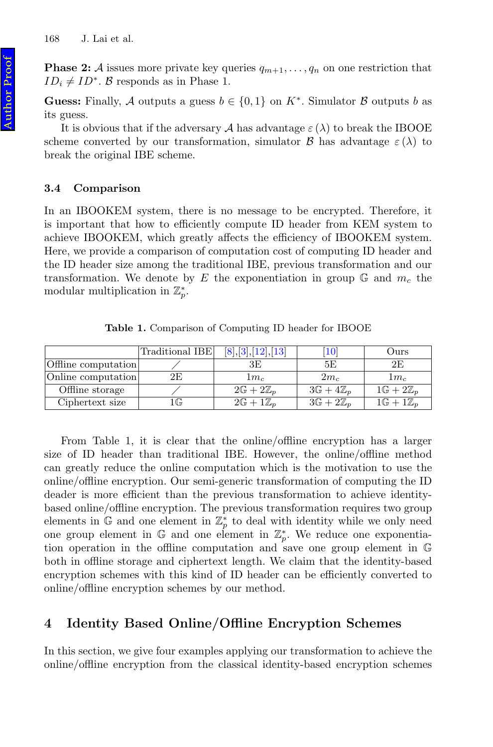**Phase 2:** A issues more private key queries  $q_{m+1}, \ldots, q_n$  on one restriction that  $ID_i \neq ID^*$ . B responds as in Phase 1.

**Guess:** Finally, A outputs a guess  $b \in \{0, 1\}$  on  $K^*$ . Simulator B outputs b as its guess.

It is obvious that if the adversary A has advantage  $\varepsilon(\lambda)$  to break the IBOOE scheme converted by our transformation, simulator  $\mathcal{B}$  has advantage  $\varepsilon(\lambda)$  to break the original IBE scheme.

#### **3.4 Comparison**

In an IBOOKEM system, there is no message to be encrypted. Therefore, it is important that how to efficiently compute ID header from KEM system to achieve IBOOKEM, which greatly affects the efficiency of IBOOKEM system. Here, we provide a comparison of computation cost of computing ID header and the ID header size among the traditional IBE, previous transformation and our transformation. We denote by E the exponentiation in group  $\mathbb{G}$  and  $m_c$  the modular multiplication in  $\mathbb{Z}_p^*$ .

**Table 1.** Comparison of Computing ID header for IBOOE

|                     | Traditional IBE | [8], [3], [12], [13]        | <b>10</b>                     | Ours                          |
|---------------------|-----------------|-----------------------------|-------------------------------|-------------------------------|
| Offline computation |                 | 3E                          | 5E                            | 2E                            |
| Online computation  | 2E              | $1m_c$                      | $2m_c$                        | $1m_c$                        |
| Offline storage     |                 | $2\mathbb{G}+2\mathbb{Z}_n$ | $3\mathbb{G} + 4\mathbb{Z}_n$ | $1\mathbb{G} + 2\mathbb{Z}_p$ |
| Ciphertext size     | lG              | $2\mathbb{G}+1\mathbb{Z}_n$ | $3\mathbb{G}+2\mathbb{Z}_n$   | $1\mathbb{G}+1\mathbb{Z}_n$   |

From Table 1, it is clear that the online/offline encryption has a larger size of ID header than traditional IBE. However, the online/offline method can greatly reduce the online computation which is the motivation to use the online/offline encryption. Our semi-generic transformation of computing the ID deader is more efficient than the previous transformation to achieve identitybased online/offline encryption. The previous transformation requires two group elements in  $\mathbb G$  and one element in  $\mathbb Z_p^*$  to deal with identity while we only need one group element in  $\mathbb{G}$  and one element in  $\mathbb{Z}_p^*$ . We reduce one exponentiation operation in the offline computation and save one group element in G both in offline storage and ciphertext length. We claim that the identity-based encryption schemes with this kind of ID header can be efficiently converted to online/offline encryption schemes by our method.

# **4 Identity Based Online/Offline Encryption Schemes**

In this section, we give four examples applying our transformation to achieve the online/offline encryption from the classical identity-based encryption schemes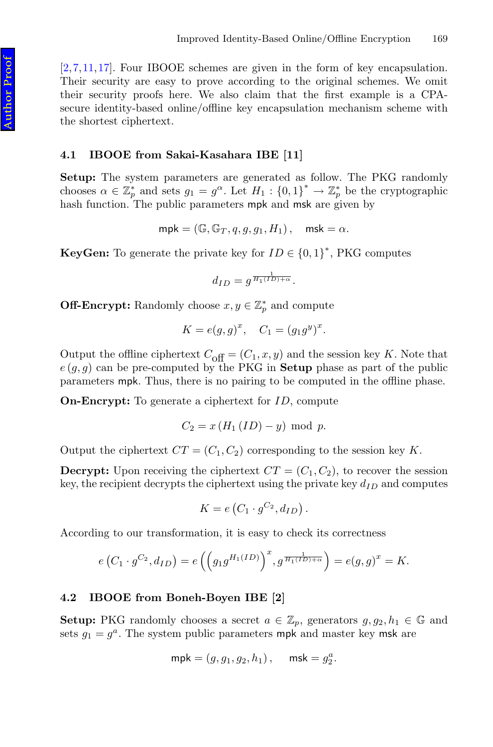[\[2](#page-14-0)[,7](#page-15-1),[11,](#page-15-16)[17\]](#page-15-2). Four IBOOE schemes are given in the form of key encapsulation. Their security are easy to prove according to the original schemes. We omit their security proofs here. We also claim that the first example is a CPAsecure identity-based online/offline key encapsulation mechanism scheme with the shortest ciphertext.

#### **4.1 IBOOE from Sakai-Kasahara IBE [11]**

**Setup:** The system parameters are generated as follow. The PKG randomly chooses  $\alpha \in \mathbb{Z}_p^*$  and sets  $g_1 = g^{\alpha}$ . Let  $H_1 : \{0,1\}^* \to \mathbb{Z}_p^*$  be the cryptographic hash function. The public parameters mpk and msk are given by

$$
\mathsf{mpk} = \left(\mathbb{G}, \mathbb{G}_T, q, g, g_1, H_1\right), \quad \mathsf{msk} = \alpha.
$$

**KeyGen:** To generate the private key for  $ID \in \{0, 1\}^*$ , PKG computes

$$
d_{ID} = g^{\frac{1}{H_1(ID) + \alpha}}.
$$

**Off-Encrypt:** Randomly choose  $x, y \in \mathbb{Z}_p^*$  and compute

$$
K = e(g, g)^x
$$
,  $C_1 = (g_1 g^y)^x$ .

Output the offline ciphertext  $C_{\text{off}} = (C_1, x, y)$  and the session key K. Note that  $e(g, g)$  can be pre-computed by the PKG in **Setup** phase as part of the public parameters mpk. Thus, there is no pairing to be computed in the offline phase.

**On-Encrypt:** To generate a ciphertext for ID, compute

$$
C_2 = x(H_1(ID) - y) \text{ mod } p.
$$

Output the ciphertext  $CT = (C_1, C_2)$  corresponding to the session key K.

**Decrypt:** Upon receiving the ciphertext  $CT = (C_1, C_2)$ , to recover the session key, the recipient decrypts the ciphertext using the private key  $d_{ID}$  and computes

$$
K = e\left(C_1 \cdot g^{C_2}, d_{ID}\right).
$$

According to our transformation, it is easy to check its correctness

$$
e(C_1 \cdot g^{C_2}, d_{ID}) = e\left(\left(g_1 g^{H_1(ID)}\right)^x, g^{\frac{1}{H_1(ID)+\alpha}}\right) = e(g, g)^x = K.
$$

#### **4.2 IBOOE from Boneh-Boyen IBE [2]**

**Setup:** PKG randomly chooses a secret  $a \in \mathbb{Z}_p$ , generators  $g, g_2, h_1 \in \mathbb{G}$  and sets  $g_1 = g^a$ . The system public parameters mpk and master key msk are

$$
\mathsf{mpk} = (g,g_1,g_2,h_1)\,,\quad \ \mathsf{msk} = g_2^a.
$$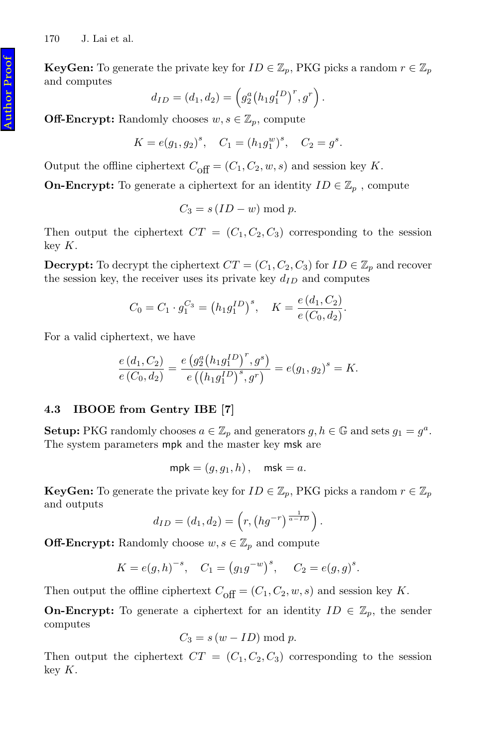170 J. Lai et al.

**KeyGen:** To generate the private key for  $ID \in \mathbb{Z}_p$ , PKG picks a random  $r \in \mathbb{Z}_p$ and computes

$$
d_{ID} = (d_1, d_2) = (g_2^a(h_1g_1^{ID})^r, g^r).
$$

**Off-Encrypt:** Randomly chooses  $w, s \in \mathbb{Z}_p$ , compute

$$
K = e(g_1, g_2)^s
$$
,  $C_1 = (h_1 g_1^w)^s$ ,  $C_2 = g^s$ .

Output the offline ciphertext  $C_{\text{off}} = (C_1, C_2, w, s)$  and session key K.

**On-Encrypt:** To generate a ciphertext for an identity  $ID \in \mathbb{Z}_p$ , compute

$$
C_3 = s(ID - w) \bmod p.
$$

Then output the ciphertext  $CT = (C_1, C_2, C_3)$  corresponding to the session key  $K$ .

**Decrypt:** To decrypt the ciphertext  $CT = (C_1, C_2, C_3)$  for  $ID \in \mathbb{Z}_p$  and recover the session key, the receiver uses its private key  $d_{ID}$  and computes

$$
C_0 = C_1 \cdot g_1^{C_3} = (h_1 g_1^{ID})^s
$$
,  $K = \frac{e(d_1, C_2)}{e(C_0, d_2)}$ .

For a valid ciphertext, we have

$$
\frac{e(d_1, C_2)}{e(C_0, d_2)} = \frac{e(g_2^a(h_1g_1^{ID})^r, g^s)}{e((h_1g_1^{ID})^s, g^r)} = e(g_1, g_2)^s = K.
$$

#### **4.3 IBOOE from Gentry IBE [7]**

**Setup:** PKG randomly chooses  $a \in \mathbb{Z}_p$  and generators  $g, h \in \mathbb{G}$  and sets  $g_1 = g^a$ . The system parameters mpk and the master key msk are

$$
\mathsf{mpk} = (g, g_1, h)\,, \quad \mathsf{msk} = a.
$$

**KeyGen:** To generate the private key for  $ID \in \mathbb{Z}_p$ , PKG picks a random  $r \in \mathbb{Z}_p$ and outputs

$$
d_{ID} = (d_1, d_2) = (r, (hg^{-r})^{\frac{1}{a-ID}}).
$$

**Off-Encrypt:** Randomly choose  $w, s \in \mathbb{Z}_p$  and compute

$$
K = e(g, h)^{-s}
$$
,  $C_1 = (g_1 g^{-w})^s$ ,  $C_2 = e(g, g)^s$ .

Then output the offline ciphertext  $C_{\text{off}} = (C_1, C_2, w, s)$  and session key K.

**On-Encrypt:** To generate a ciphertext for an identity  $ID \in \mathbb{Z}_p$ , the sender computes

$$
C_3 = s(w - ID) \bmod p.
$$

Then output the ciphertext  $CT = (C_1, C_2, C_3)$  corresponding to the session key  $K$ .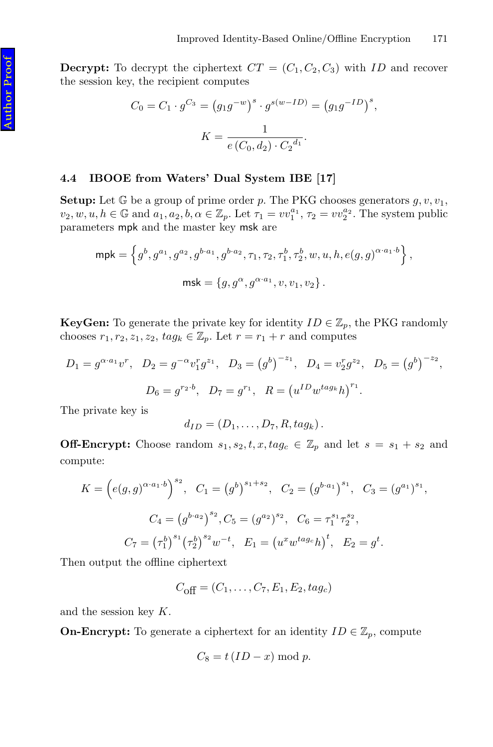**Decrypt:** To decrypt the ciphertext  $CT = (C_1, C_2, C_3)$  with ID and recover the session key, the recipient computes

$$
C_0 = C_1 \cdot g^{C_3} = (g_1 g^{-w})^s \cdot g^{s(w-ID)} = (g_1 g^{-ID})^s,
$$
  

$$
K = \frac{1}{e(C_0, d_2) \cdot C_2^{d_1}}.
$$

#### **4.4 IBOOE from Waters' Dual System IBE [17]**

**Setup:** Let  $\mathbb{G}$  be a group of prime order p. The PKG chooses generators  $g, v, v_1$ ,  $v_2, w, u, h \in \mathbb{G}$  and  $a_1, a_2, b, \alpha \in \mathbb{Z}_p$ . Let  $\tau_1 = v v_1^{a_1}, \tau_2 = v v_2^{a_2}$ . The system public parameters mpk and the master key msk are

$$
\mathsf{mpk} = \left\{ g^b, g^{a_1}, g^{a_2}, g^{b \cdot a_1}, g^{b \cdot a_2}, \tau_1, \tau_2, \tau_1^b, \tau_2^b, w, u, h, e(g, g)^{\alpha \cdot a_1 \cdot b} \right\},
$$

$$
\mathsf{msk} = \{ g, g^{\alpha}, g^{\alpha \cdot a_1}, v, v_1, v_2 \}.
$$

**KeyGen:** To generate the private key for identity  $ID \in \mathbb{Z}_p$ , the PKG randomly chooses  $r_1, r_2, z_1, z_2, tag_k \in \mathbb{Z}_p$ . Let  $r = r_1 + r$  and computes

$$
D_1 = g^{\alpha \cdot a_1} v^r, \quad D_2 = g^{-\alpha} v_1^r g^{z_1}, \quad D_3 = (g^b)^{-z_1}, \quad D_4 = v_2^r g^{z_2}, \quad D_5 = (g^b)^{-z_2},
$$

$$
D_6 = g^{r_2 \cdot b}, \quad D_7 = g^{r_1}, \quad R = (u^{ID} w^{tag_k} h)^{r_1}.
$$

The private key is

 $d_{ID} = (D_1, \ldots, D_7, R, tag_k).$ 

**Off-Encrypt:** Choose random  $s_1, s_2, t, x, tag_c \in \mathbb{Z}_p$  and let  $s = s_1 + s_2$  and compute:

$$
K = (e(g, g)^{\alpha \cdot a_1 \cdot b})^{s_2}, C_1 = (g^b)^{s_1 + s_2}, C_2 = (g^{b \cdot a_1})^{s_1}, C_3 = (g^{a_1})^{s_1},
$$
  

$$
C_4 = (g^{b \cdot a_2})^{s_2}, C_5 = (g^{a_2})^{s_2}, C_6 = \tau_1^{s_1} \tau_2^{s_2},
$$
  

$$
C_7 = (\tau_1^b)^{s_1} (\tau_2^b)^{s_2} w^{-t}, E_1 = (u^x w^{tag_c} h)^t, E_2 = g^t.
$$

Then output the offline ciphertext

$$
C_{\text{off}} = (C_1, \ldots, C_7, E_1, E_2, tag_c)
$$

and the session key K.

**On-Encrypt:** To generate a ciphertext for an identity  $ID \in \mathbb{Z}_p$ , compute

$$
C_8 = t (ID - x) \bmod p.
$$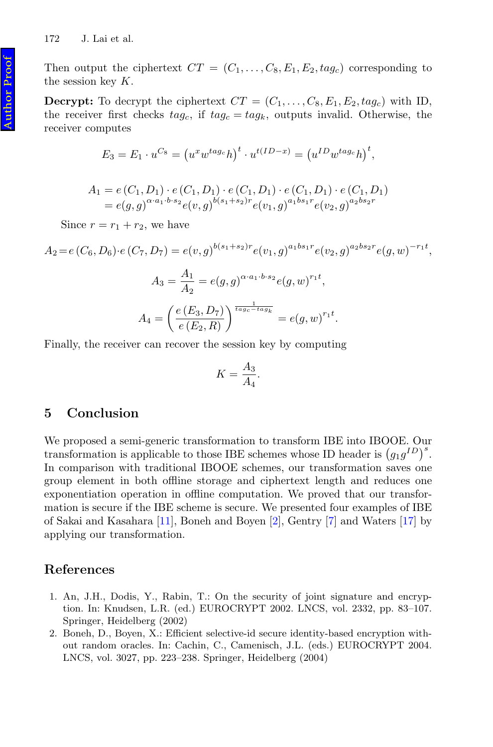172 J. Lai et al.

Then output the ciphertext  $CT = (C_1, \ldots, C_8, E_1, E_2, tag_c)$  corresponding to the session key  $K$ .

**Decrypt:** To decrypt the ciphertext  $CT = (C_1, \ldots, C_8, E_1, E_2, tag_c)$  with ID, the receiver first checks  $tag_c$ , if  $tag_c = tag_k$ , outputs invalid. Otherwise, the receiver computes

$$
E_3 = E_1 \cdot u^{C_8} = (u^x w^{tag_c} h)^t \cdot u^{t(ID-x)} = (u^{ID} w^{tag_c} h)^t,
$$

$$
A_1 = e(C_1, D_1) \cdot e(C_1, D_1) \cdot e(C_1, D_1) \cdot e(C_1, D_1) \cdot e(C_1, D_1)
$$
  
=  $e(g, g)^{\alpha \cdot a_1 \cdot b \cdot s_2} e(v, g)^{b(s_1 + s_2)r} e(v_1, g)^{a_1 b s_1 r} e(v_2, g)^{a_2 b s_2 r}$ 

Since  $r = r_1 + r_2$ , we have

$$
A_2 = e(C_6, D_6) \cdot e(C_7, D_7) = e(v, g)^{b(s_1 + s_2)r} e(v_1, g)^{a_1bs_1r} e(v_2, g)^{a_2bs_2r} e(g, w)^{-r_1t},
$$
  

$$
A_3 = \frac{A_1}{A_2} = e(g, g)^{\alpha \cdot a_1 \cdot b \cdot s_2} e(g, w)^{r_1t},
$$
  

$$
A_4 = \left(\frac{e(E_3, D_7)}{e(E_2, R)}\right)^{\frac{1}{tag_c - tag_k}} = e(g, w)^{r_1t}.
$$

Finally, the receiver can recover the session key by computing

$$
K = \frac{A_3}{A_4}.
$$

## **5 Conclusion**

We proposed a semi-generic transformation to transform IBE into IBOOE. Our transformation is applicable to those IBE schemes whose ID header is  $(g_1g^{ID})^s$ . In comparison with traditional IBOOE schemes, our transformation saves one group element in both offline storage and ciphertext length and reduces one exponentiation operation in offline computation. We proved that our transformation is secure if the IBE scheme is secure. We presented four examples of IBE of Sakai and Kasahara [\[11](#page-15-16)], Boneh and Boyen [\[2\]](#page-14-0), Gentry [\[7\]](#page-15-1) and Waters [\[17\]](#page-15-2) by applying our transformation.

# <span id="page-14-1"></span>**References**

- 1. An, J.H., Dodis, Y., Rabin, T.: On the security of joint signature and encryption. In: Knudsen, L.R. (ed.) EUROCRYPT 2002. LNCS, vol. 2332, pp. 83–107. Springer, Heidelberg (2002)
- <span id="page-14-0"></span>2. Boneh, D., Boyen, X.: Efficient selective-id secure identity-based encryption without random oracles. In: Cachin, C., Camenisch, J.L. (eds.) EUROCRYPT 2004. LNCS, vol. 3027, pp. 223–238. Springer, Heidelberg (2004)